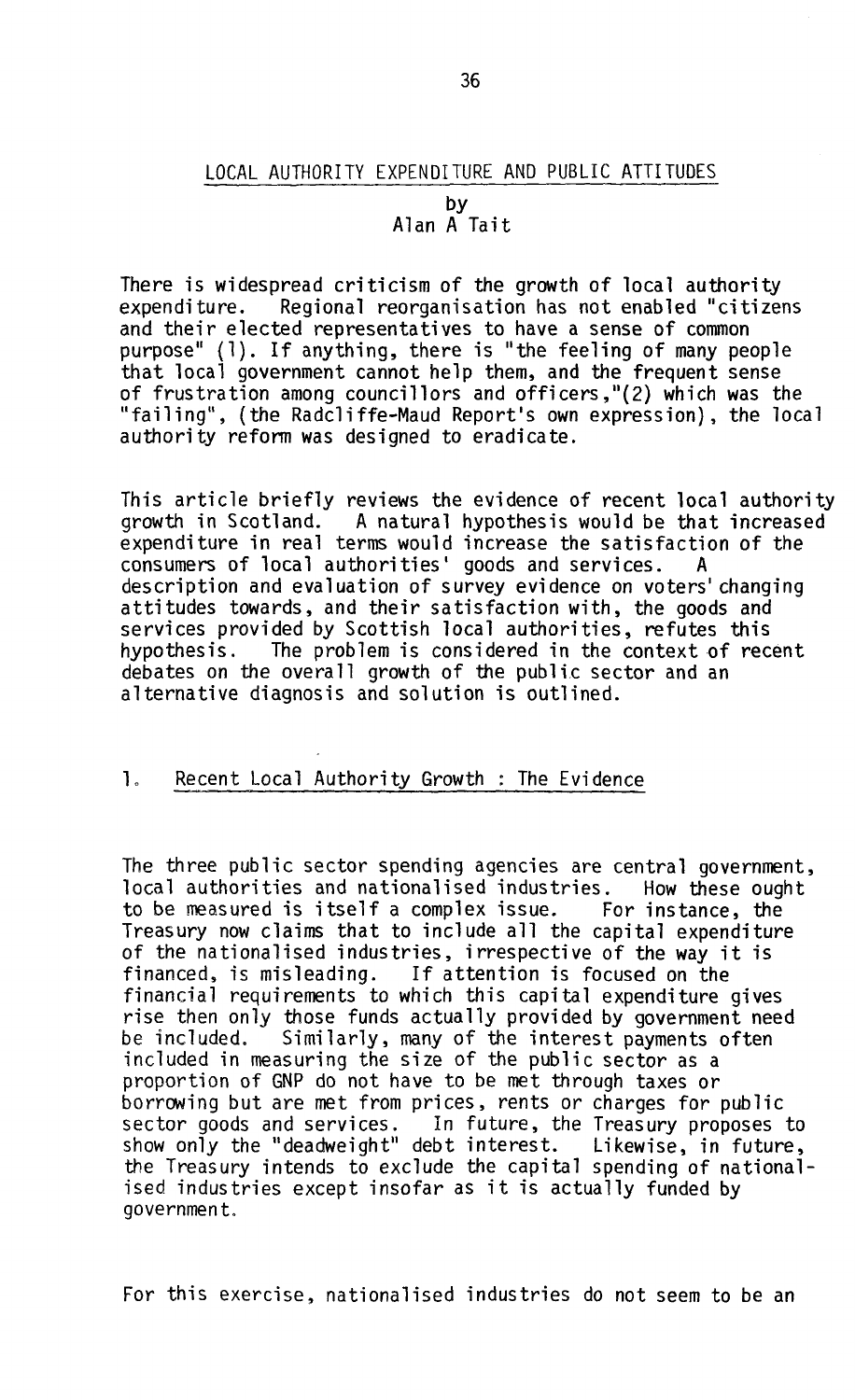## LOCAL AUTHORITY EXPENDITURE AND PUBLIC ATTITUDES

#### by Alan A Tait

There is widespread criticism of the growth of local authority expenditure. Regional reorganisation has not enabled "citizens and their elected representatives to have a sense of common purpose" (1). If anything, there is "the feeling of many people that local government cannot help them, and the frequent sense of frustration among councillors and officers,"(2) which was the "failing", (the Radcliffe-Maud Report's own expression), the local authority reform was designed to eradicate.

This article briefly reviews the evidence of recent local authority<br>growth in Scotland. A natural hypothesis would be that increased A natural hypothesis would be that increased expenditure in real terms would increase the satisfaction of the consumers of local authorities' goods and services. A description and evaluation of survey evidence on voters' changing attitudes towards, and their satisfaction with, the goods and services provided by Scottish local authorities, refutes this hypothesis. The problem is considered in the context of recent debates on the overall growth of the public sector and an alternative diagnosis and solution is outlined.

# 1. Recent Local Authority Growth : The Evidence

The three public sector spending agencies are central government, local authorities and nationalised industries. How these ought to be measured is itself a complex issue. For instance, the Treasury now claims that to include all the capital expenditure of the nationalised industries, irrespective of the way it is financed, is misleading. If attention is focused on the financial requirements to which this capital expenditure gives rise then only those funds actually provided by government need be included. Similarly, many of the interest payments often included in measuring the size of the public sector as a proportion of GNP do not have to be met through taxes or borrowing but are met from prices, rents or charges for public sector goods and services. In future, the Treasury proposes to show only the "deadweight" debt interest. Likewise, in future, the Treasury intends to exclude the capital spending of nationalised industries except insofar as it is actually funded by government.

For this exercise, nationalised industries do not seem to be an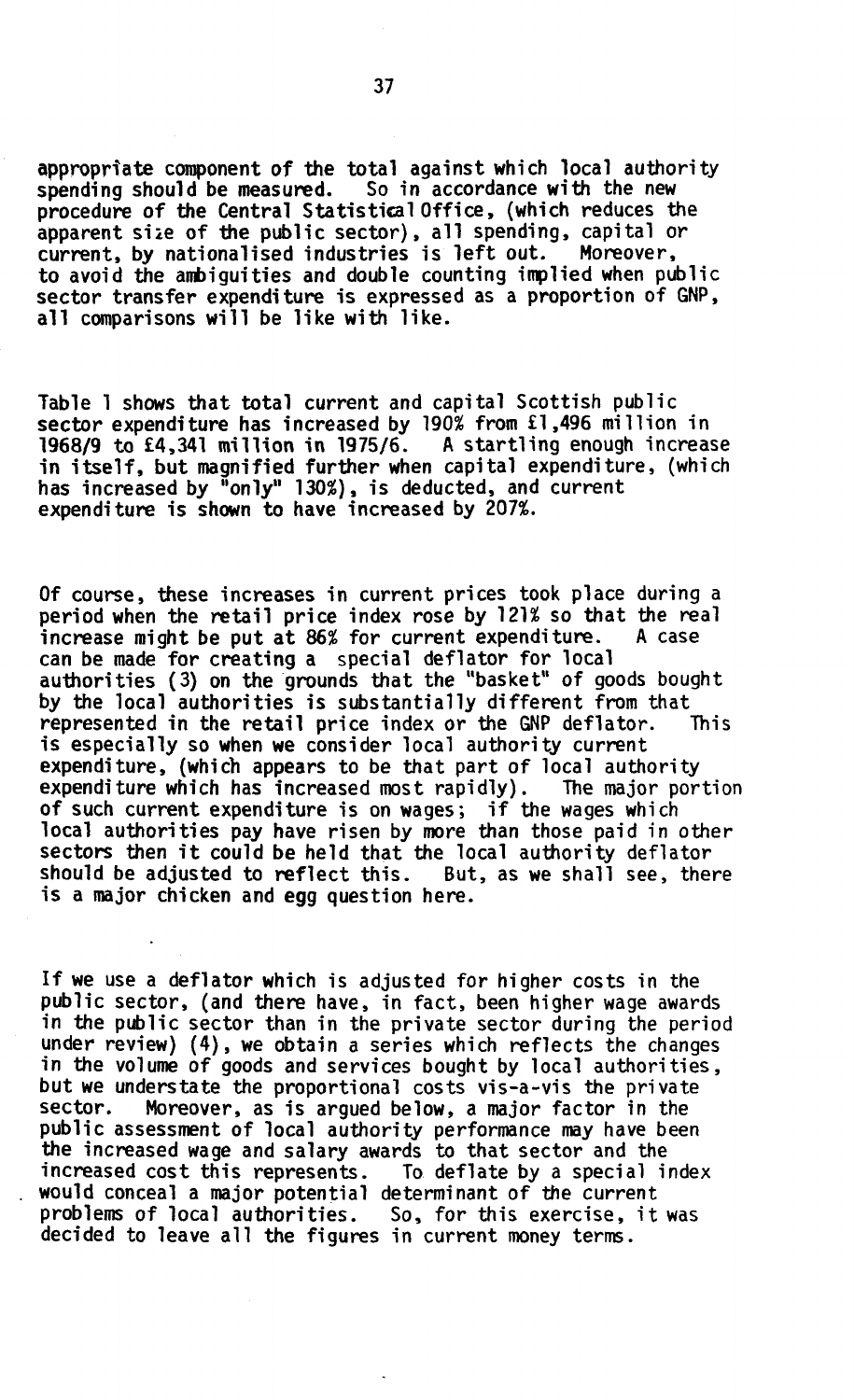appropriate component of the total against which local authority spending should be measured. So in accordance with the new procedure of the Central Statistical Office, (which reduces the apparent size of the public sector), all spending, capital or current, by nationalised industries is left out. Moreover, to avoid the ambiguities and double counting implied when public sector transfer expenditure is expressed as a proportion of GNP, all comparisons will be like with like.

Table 1 shows that total current and capital Scottish public sector expenditure has increased by 190% from £1,496 million in 1968/9 to £4,341 million in 1975/6. A startling enough increase in itself , but magnified further when capital expenditure, (which has increased by "only" 130%), is deducted, and current expenditure is shown to have increased by 207%.

Of course, these increases in current prices took place during a period when the retail price index rose by  $121\%$  so that the real increase might be put at  $86\%$  for current expenditure. A case increase might be put at  $86%$  for current expenditure. can be made for creating a special deflator for local authorities (3) on the grounds that the "basket" of goods bought by the local authorities is substantially different from that represented in the retail price index or the GNP deflator. This is especially so when we consider local authority current expenditure, (which appears to be that part of local authority expenditure which has increased most rapidly). The major portion of such current expenditure is on wages; if the wages which local authorities pay have risen by more than those paid in other sectors then it could be held that the local authority deflator should be adjusted to reflect this. But, as we shall see, there is a major chicken and egg question here.

If we use a deflator which is adjusted for higher costs in the public sector, (and there have, in fact, been higher wage awards in the public sector than in the private sector during the period under review) (4), we obtain a series which reflects the changes in the volume of goods and services bought by local authorities, but we understate the proportional costs vis-a-vis the private sector. Moreover, as is argued below, a major factor in the public assessment of local authority performance may have been the increased wage and salary awards to that sector and the increased cost this represents. To deflate by a special index would conceal a major potential determinant of the current problems of local authorities. So, for this exercise, it was decided to leave all the figures in current money terms.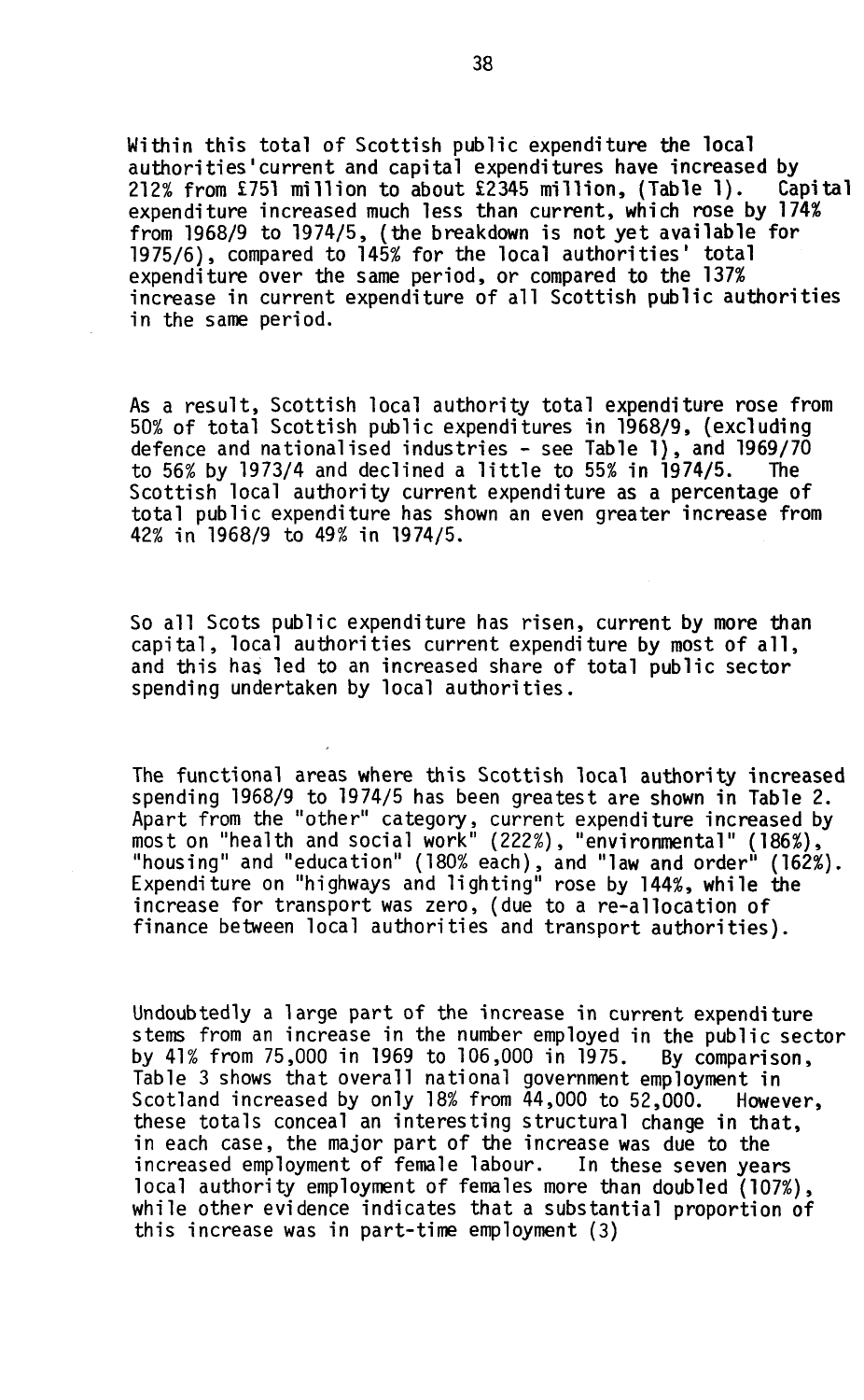Within this total of Scottish public expenditure the local authorities'current and capital expenditures have increased by<br>212% from £751 million to about £2345 million, (Table 1). Capital  $212%$  from £751 million to about £2345 million, (Table 1). expenditure increased much less than current, which rose by 174% from 1968/9 to 1974/5, (the breakdown is not yet available for 1975/6), compared to 145% for the local authorities' total expenditure over the same period, or compared to the 137% increase in current expenditure of all Scottish public authorities in the same period.

As a result, Scottish local authority total expenditure rose from 50% of total Scottish public expenditures in 1968/9, (excluding defence and nationalised industries - see Table 1), and 1969/70 to  $56\%$  by  $1973/4$  and declined a little to  $55\%$  in  $1974/5$ . The Scottish local authority current expenditure as a percentage of total public expenditure has shown an even greater increase from 42% in 1968/9 to 49% in 1974/5.

So all Scots public expenditure has risen, current by more than capital, local authorities current expenditure by most of all, and this has led to an increased share of total public sector spending undertaken by local authorities.

The functional areas where this Scottish local authority increased spending 1968/9 to 1974/5 has been greatest are shown in Table 2. Apart from the "other" category, current expenditure increased by most on "health and social work" (222%), "environmental" (186%), "housing" and "education" (180% each), and "law and order" (162%). Expenditure on "highways and lighting" rose by 144%, while the increase for transport was zero, (due to a re-allocation of finance between local authorities and transport authorities).

Undoubtedly a large part of the increase in current expenditure stems from an increase in the number employed in the public sector by 41% from 75,000 in 1969 to 106,000 in 1975. By comparison, Table 3 shows that overall national government employment in Scotland increased by only 18% from 44,000 to 52,000. However, these totals conceal an interesting structural change in that, in each case, the major part of the increase was due to the increased employment of female labour. In these seven years local authority employment of females more than doubled (107%), while other evidence indicates that a substantial proportion of this increase was in part-time employment (3)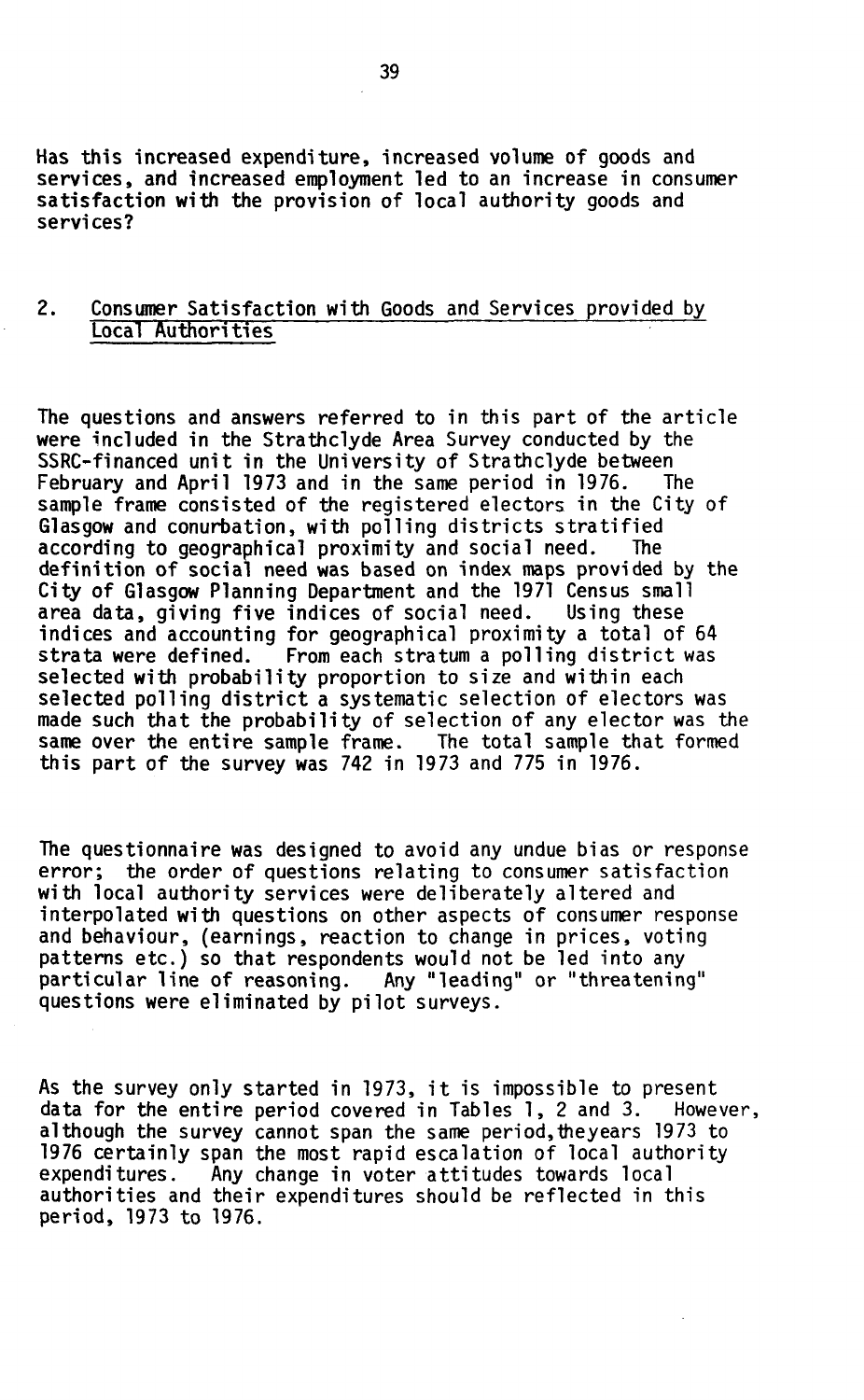Has this increased expenditure, increased volume of goods and services, and increased employment led to an increase in consumer satisfaction with the provision of local authority goods and services?

# 2. Consumer Satisfaction with Goods and Services provided by Local Authorities

The questions and answers referred to in this part of the article were included in the Strathclyde Area Survey conducted by the SSRC-financed unit in the University of Strathclyde between February and April 1973 and in the same period in 1976. The sample frame consisted of the registered electors in the City of Glasgow and conurbation, with polling districts stratified according to geographical proximity and social need. The definition of social need was based on index maps provided by the City of Glasgow Planning Department and the 1971 Census small area data, giving five indices of social need. Using these indices and accounting for geographical proximity a total of 64 strata were defined. From each stratum a polling district was selected with probability proportion to size and within each selected polling district a systematic selection of electors was made such that the probability of selection of any elector was the same over the entire sample frame. The total sample that formed this part of the survey was 742 in 1973 and 775 in 1976.

The questionnaire was designed to avoid any undue bias or response<br>error; the order of questions relating to consumer satisfaction the order of questions relating to consumer satisfaction with local authority services were deliberately altered and interpolated with questions on other aspects of consumer response and behaviour, (earnings, reaction to change in prices, voting patterns etc.) so that respondents would not be led into any particular line of reasoning. Any "leading" or "threatening" questions were eliminated by pilot surveys.

As the survey only started in 1973, it is impossible to present data for the entire period covered in Tables 1, 2 and 3. However, although the survey cannot span the same period,theyears 1973 to 1976 certainly span the most rapid escalation of local authority expenditures. Any change in voter attitudes towards local authorities and their expenditures should be reflected in this period, 1973 to 1976.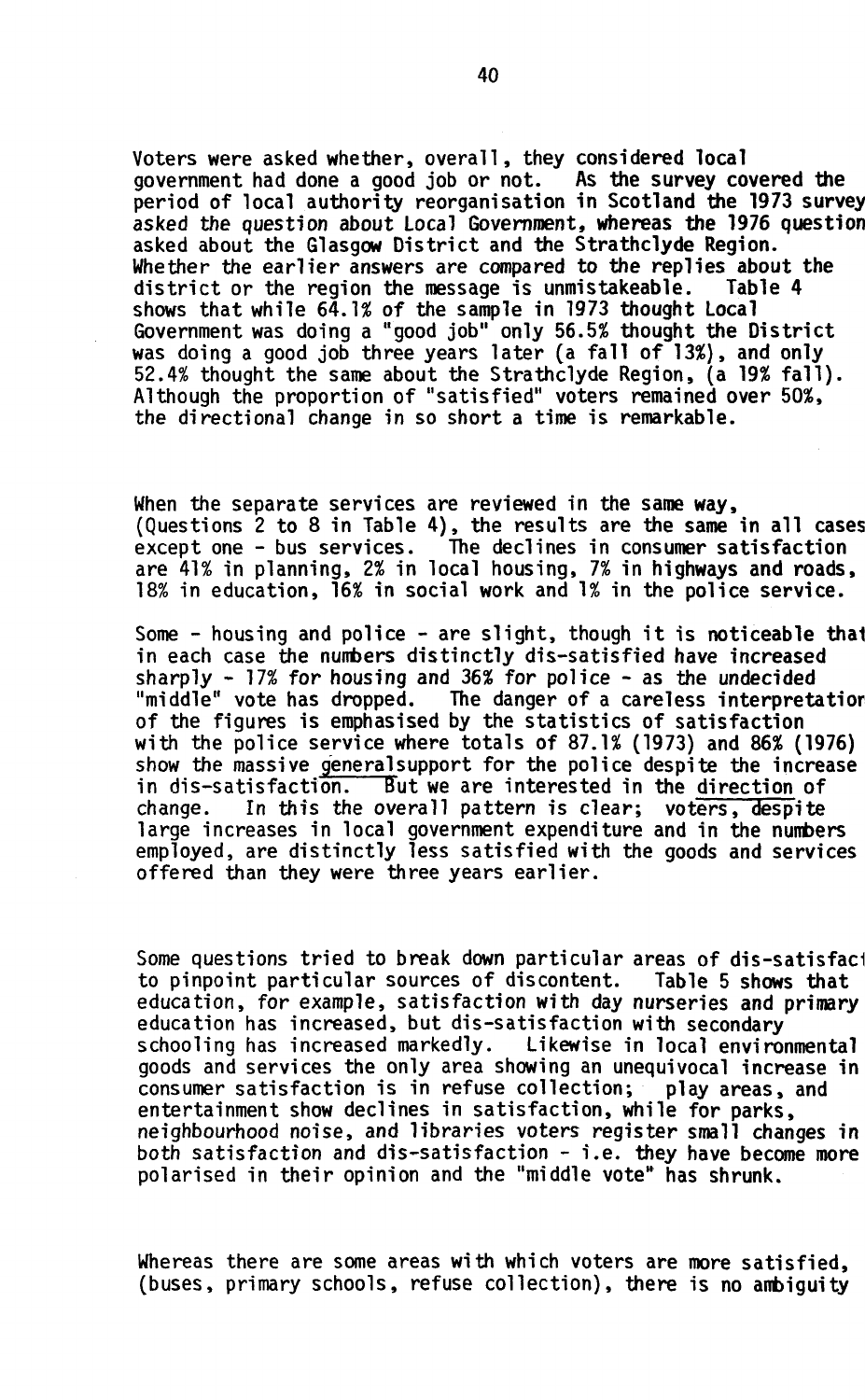Voters were asked whether, overall, they considered local<br>government had done a good job or not. As the survey covered the government had done a good job or not. period of local authority reorganisation in Scotland the 1973 survey asked the question about Local Government, whereas the 1976 question asked about the Glasgow District and the Strathclyde Region. Whether the earlier answers are compared to the replies about the district or the region the message is unmistakeable. Table 4 shows that while 64.1% of the sample in 1973 thought Local Government was doing a "good job" only 56.5% thought the District was doing a good job three years later (a fall of 13%), and only 52.4% thought the same about the Strathclyde Region, (a 19% fall) . Although the proportion of "satisfied" voters remained over 50%, the directional change in so short a time is remarkable.

When the separate services are reviewed in the same way, (Questions  $2$  to  $8$  in Table 4), the results are the same in all cases except one  $-$  bus services. The declines in consumer satisfaction The declines in consumer satisfaction are 41% in planning, 2% in local housing, 7% in highways and roads, 18% in education, 16% in social work and 1% in the police service.

Some  $-$  housing and police  $-$  are slight, though it is noticeable that in each case the numbers distinctly dis-satisfied have increased sharply - 17% for housing and 36% for police - as the undecided The danger of a careless interpretation of the figures is emphasised by the statistics of satisfaction with the police service where totals of 87.1% (1973) and 86% (1976) show the massive general support for the police despite the increase in dis-satisfaction. But we are interested in the direction of change. In this the overall pattern is clear; voters, despite large increases in local government expenditure and in the numbers employed, are distinctly less satisfied with the goods and services offered than they were three years earlier.

Some questions tried to break down particular areas of dis-satisfact to pinpoint particular sources of discontent. Table 5 shows that education, for example, satisfaction with day nurseries and primary education has increased, but dis-satisfaction with secondary schooling has increased markedly. Likewise in local environmental goods and services the only area showing an unequivocal increase in consumer satisfaction is in refuse collection; play areas, and entertainment show declines in satisfaction, while for parks, neighbourhood noise, and libraries voters register small changes in both satisfaction and dis-satisfaction - i.e. they have become more polarised in their opinion and the "middle vote" has shrunk.

Whereas there are some areas with which voters are more satisfied, (buses, primary schools, refuse collection), there is no ambiguity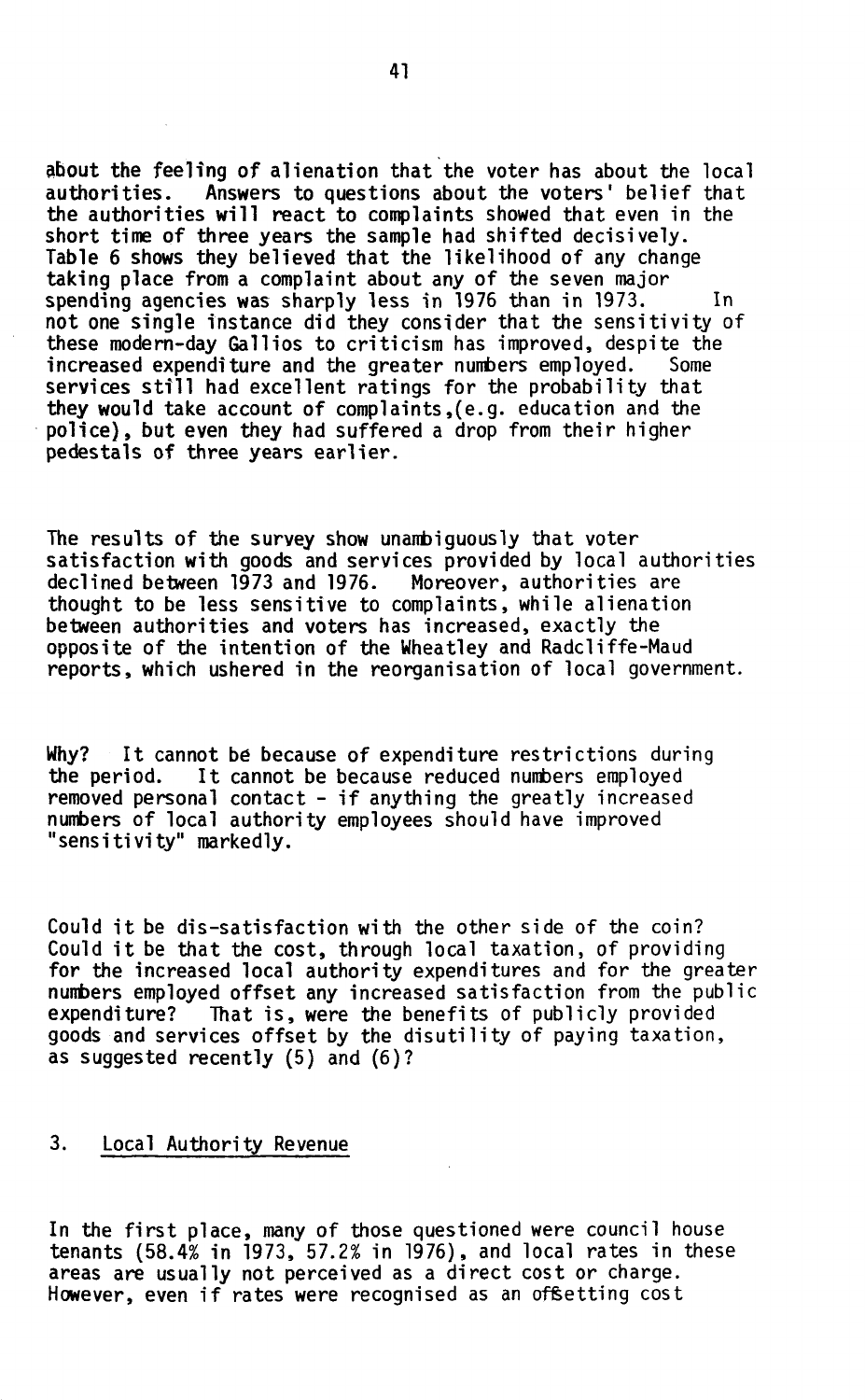about the feeling of alienation that the voter has about the local authorities. Answers to questions about the voters' belief that the authorities will react to complaints showed that even in the short time of three years the sample had shifted decisively. Table 6 shows they believed that the likelihood of any change taking place from a complaint about any of the seven major spending agencies was sharply less in 1976 than in 1973. In not one single instance did they consider that the sensitivity of these modern-day Gallios to criticism has improved, despite the increased expenditure and the greater numbers employed. Some services still had excellent ratings for the probability that they would take account of complaints,(e.g. education and the police), but even they had suffered a drop from their higher pedestals of three years earlier.

The results of the survey show unambiguously that voter satisfaction with goods and services provided by local authorities declined between 1973 and 1976. Moreover, authorities are thought to be less sensitive to complaints, while alienation between authorities and voters has increased, exactly the opposite of the intention of the Wheatley and Radcliffe-Maud reports, which ushered in the reorganisation of local government.

Why? It cannot be because of expenditure restrictions during<br>the period. It cannot be because reduced numbers employed It cannot be because reduced numbers employed removed personal contact - if anything the greatly increased numbers of local authority employees should have improved "sensitivity" markedly.

Could it be dis-satisfaction with the other side of the coin? Could it be that the cost, through local taxation, of providing for the increased local authority expenditures and for the greater numbers employed offset any increased satisfaction from the public<br>expenditure? That is, were the benefits of publicly provided That is, were the benefits of publicly provided goods and services offset by the disutility of paying taxation, as suggested recently (5) and (6)?

## 3. Local Authority Revenue

In the first place, many of those questioned were council house tenants (58.4% in 1973, 57.2% in 1976), and local rates in these areas are usually not perceived as a direct cost or charge. However, even if rates were recognised as an offsetting cost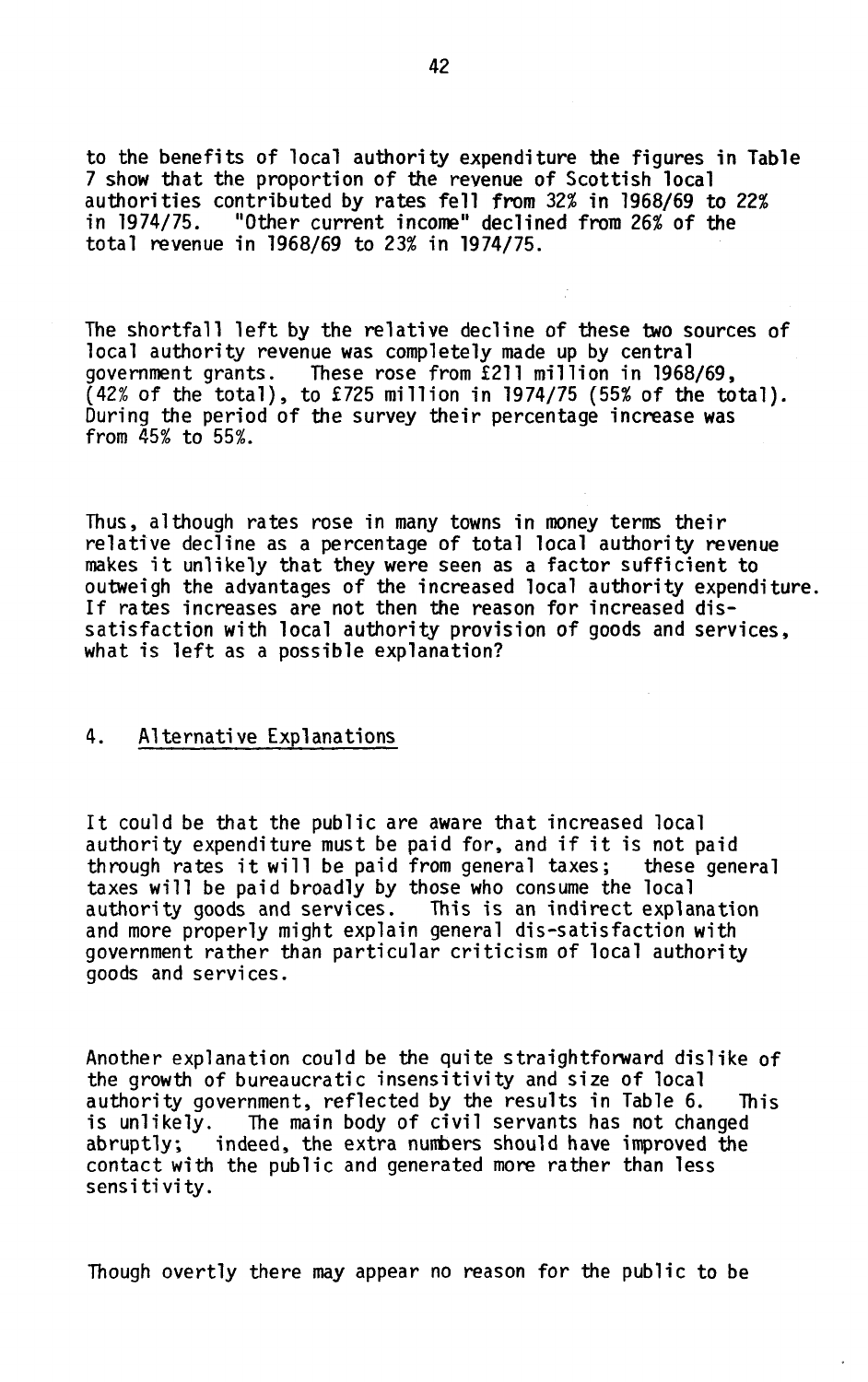to the benefits of local authority expenditure the figures in Table 7 show that the proportion of the revenue of Scottish local authorities contributed by rates fell from 32% in 1968/69 to 22%<br>in 1974/75. "Other current income" declined from 26% of the in 1974/75. "Other current income" declined from 26% of the total revenue in 1968/69 to 23% in 1974/75.

The shortfall left by the relative decline of these two sources of local authority revenue was completely made up by central government grants. These rose from £211 million in 1968/69, (42% of the total), to £725 million in 1974/75 (55% of the total). During the period of the survey their percentage increase was from 45% to 55%.

Thus, although rates rose in many towns in money terms their relative decline as a percentage of total local authority revenue makes it unlikely that they were seen as a factor sufficient to outweigh the advantages of the increased local authority expenditure. If rates increases are not then the reason for increased dissatisfaction with local authority provision of goods and services, what is left as a possible explanation?

## 4. Alternative Explanations

It could be that the public are aware that increased local authority expenditure must be paid for, and if it is not paid through rates it will be paid from general taxes; these general taxes will be paid broadly by those who consume the local<br>authority goods and services. This is an indirect explanation authority goods and services. and more properly might explain general dis-satisfaction with government rather than particular criticism of local authority goods and services.

Another explanation could be the quite straightforward dislike of the growth of bureaucratic insensitivity and size of local authority government, reflected by the results in Table 6. This<br>is unlikely. The main body of civil servants has not changed The main body of civil servants has not changed abruptly, indeed, the extra numbers should have improved the contact with the public and generated more rather than less sensitivity .

Though overtly there may appear no reason for the public to be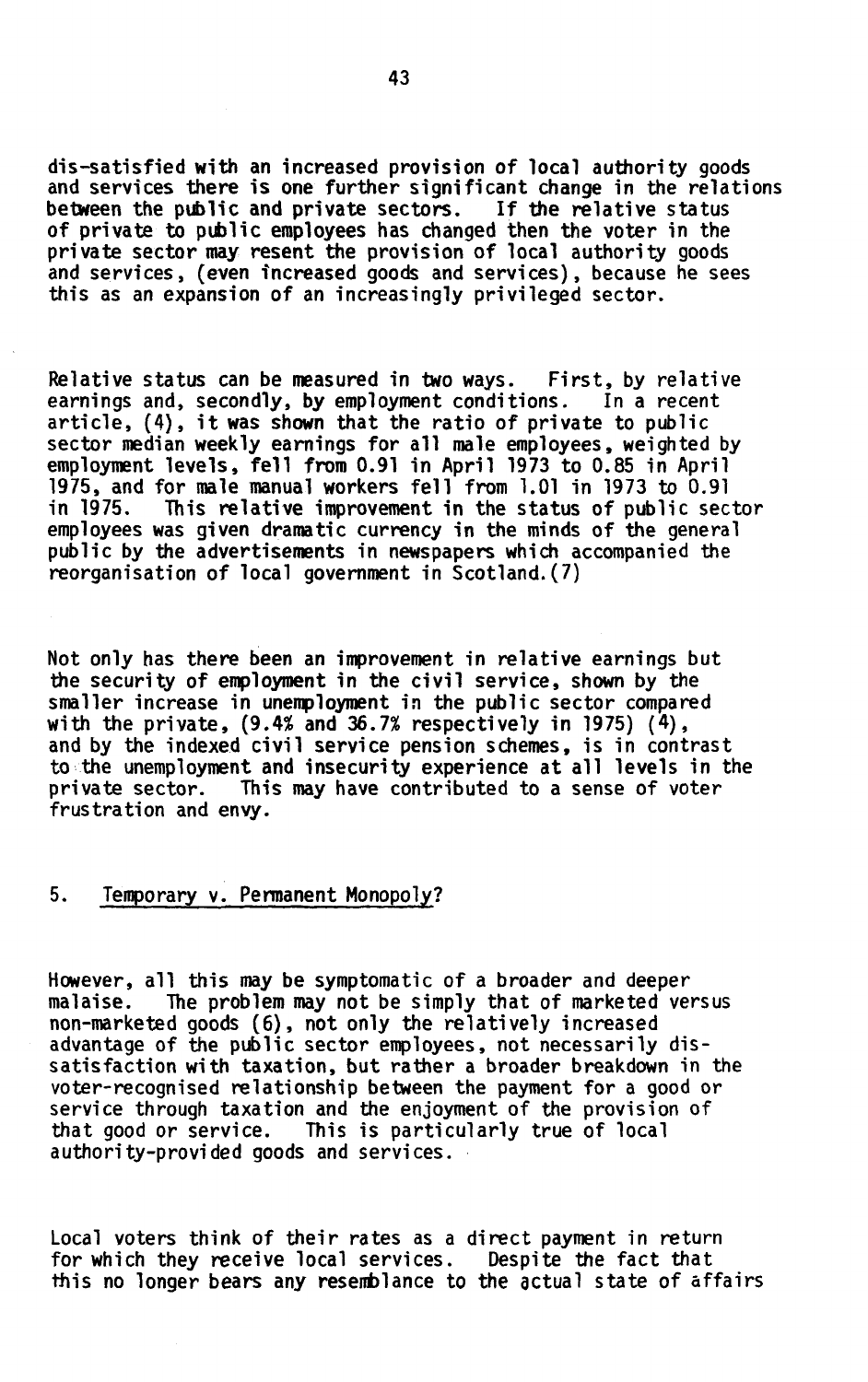dis-satisfied with an increased provision of local authority goods and services there is one further significant change in the relations between the public and private sectors. If the relative status between the public and private sectors. of private to public employees has changed then the voter in the private sector may resent the provision of local authority goods and services, (even increased goods and services), because he sees this as an expansion of an increasingly privileged sector.

Relative status can be measured in two ways. First, by relative earnings and, secondly, by employment conditions. In a recent article,  $(4)$ , it was shown that the ratio of private to public sector median weekly earnings for all male employees, weighted by employment levels, fell from 0.91 in April 1973 to 0.85 in April 1975, and for male manual workers fell from 1.01 in 1973 to 0.91 in 1975. This relative improvement in the status of public sec This relative improvement in the status of public sector employees was given dramatic currency in the minds of the general public by the advertisements in newspapers which accompanied the reorganisation of local government in Scotland.(7)

Not only has there been an improvement in relative earnings but the security of employment in the civil service, shown by the smaller increase in unemployment in the public sector compared with the private, (9.4% and 36.7% respectively in 1975) (4), and by the indexed civil service pension schemes, is in contrast to the unemployment and insecurity experience at all levels in the private sector. This may have contributed to a sense of voter frustration and envy.

# 5. Temporary v. Permanent Monopoly?

However, all this may be symptomatic of a broader and deeper malaise. The problem may not be simply that of marketed versus non-marketed goods (6), not only the relatively increased advantage of the public sector employees, not necessarily dissatisfaction with taxation, but rather a broader breakdown in the voter-recognised relationship between the payment for a good or service through taxation and the enjoyment of the provision of that good or service. This is particularly true of local authority-provided goods and services.

Local voters think of their rates as a direct payment in return for which they receive local services. Despite the fact that this no longer bears any resemblance to the actual state of affairs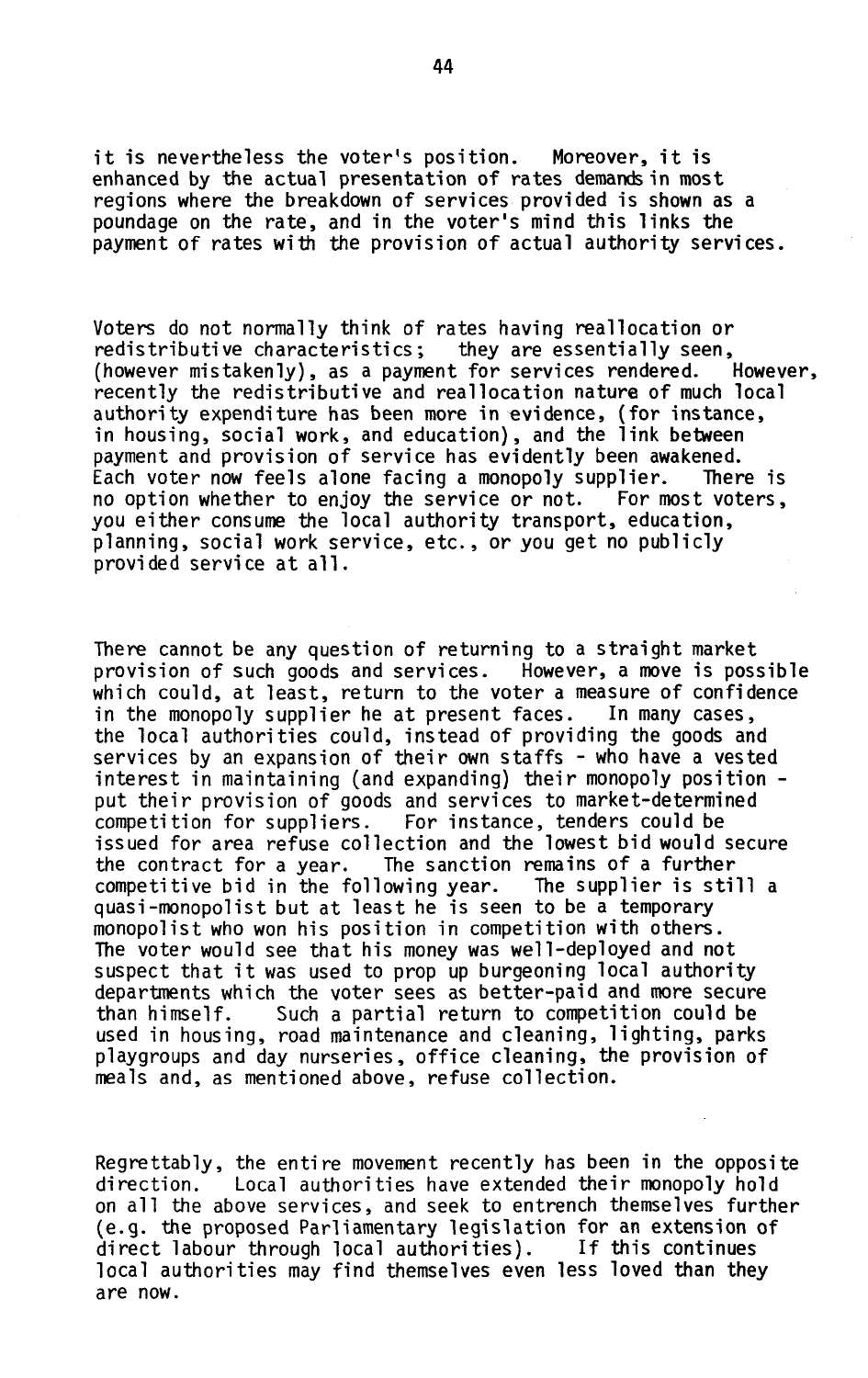it is nevertheless the voter's position. Moreover, it is enhanced by the actual presentation of rates demands in most regions where the breakdown of services provided is shown as a poundage on the rate, and in the voter's mind this links the payment of rates with the provision of actual authority services.

Voters do not normally think of rates having reallocation or redistributive characteristics; they are essentially seen, (however mistakenly), as a payment for services rendered. However, recently the redistributive and reallocation nature of much local authority expenditure has been more in evidence, (for instance, in housing, social work, and education), and the link between payment and provision of service has evidently been awakened. Each voter now feels alone facing a monopoly supplier. There is no option whether to enjoy the service or not. For most voters, you either consume the local authority transport, education, planning, social work service, etc., or you get no publicly provided service at all .

There cannot be any question of returning to a straight market provision of such goods and services. However, a move is possible which could, at least, return to the voter a measure of confidence in the monopoly supplier he at present faces. In many cases, the local authorities could, instead of providing the goods and services by an expansion of their own staffs - who have a vested interest in maintaining (and expanding) their monopoly position put their provision of goods and services to market-determined competition for suppliers. For instance, tenders could be issued for area refuse collection and the lowest bid would secure the contract for a year. The sanction remains of a further competitive bid in the following year. The supplier is still a quasi-monopolist but at least he is seen to be a temporary monopolist who won his position in competition with others. The voter would see that his money was well-deployed and not suspect that it was used to prop up burgeoning local authority departments which the voter sees as better-paid and more secure than himself. Such a partial return to competition could be used in housing, road maintenance and cleaning, lighting, parks playgroups and day nurseries, office cleaning, the provision of meals and, as mentioned above, refuse collection.

Regrettably, the entire movement recently has been in the opposite<br>direction. Local authorities have extended their monopoly hold Local authorities have extended their monopoly hold on all the above services, and seek to entrench themselves further (e.g. the proposed Parliamentary legislation for an extension of direct labour through local authorities). If this continues local authorities may find themselves even less loved than they are now.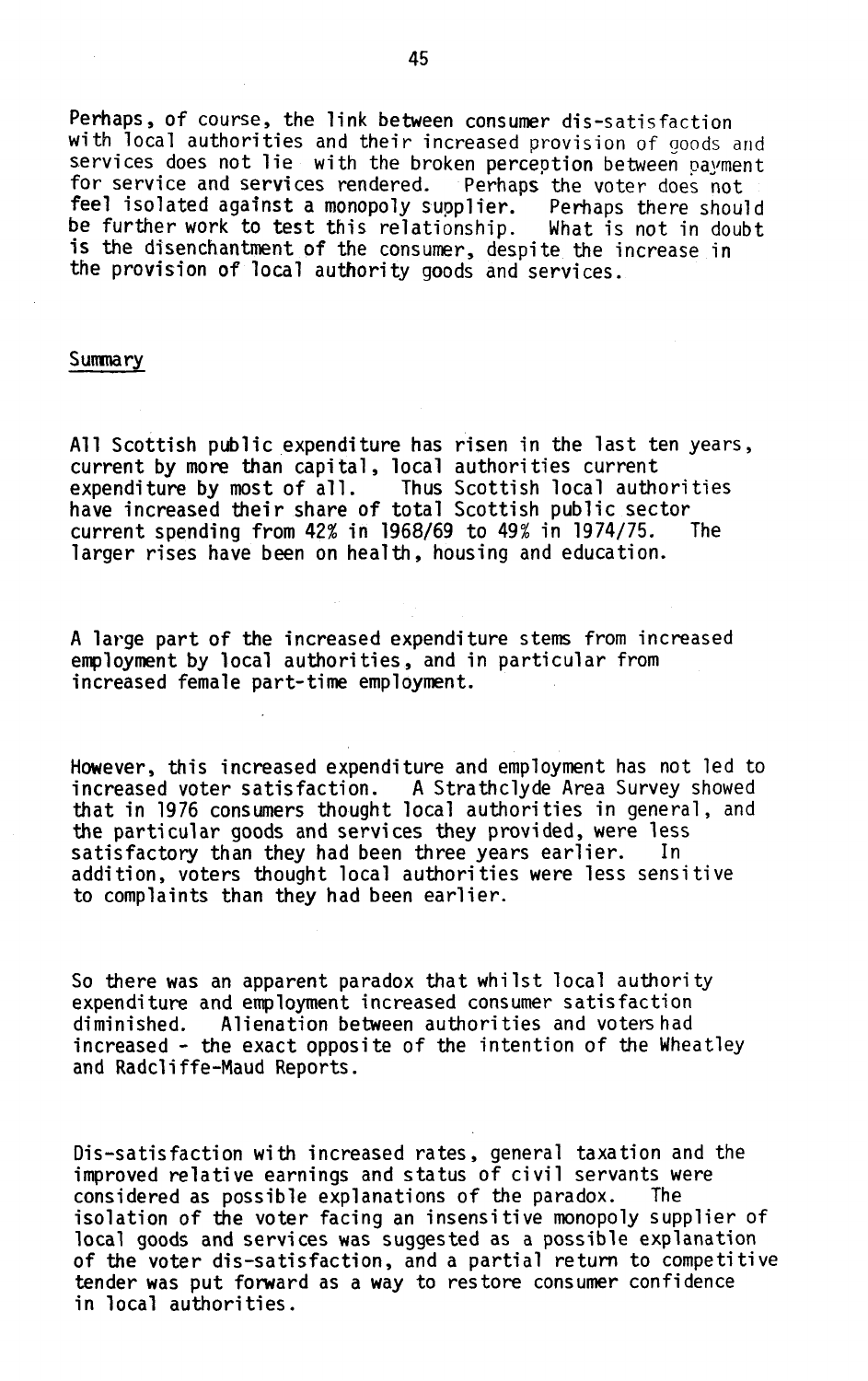Perhaps, of course, the link between consumer dis-satisfaction with local authorities and their increased provision of goods and services does not lie with the broken perception between payment<br>for service and services rendered. Perhaps the voter does not for service and services rendered. feel isolated against a monopoly supplier. Perhaps there should be further work to test this relationship. What is not in doubt is the disenchantment of the consumer, despite the increase in the provision of local authority goods and services.

#### Summary

All Scottish public expenditure has risen in the last ten years, current by more than capital, local authorities current expenditure by most of all. Thus Scottish local authorities have increased their share of total Scottish public sector<br>current spending from 42% in 1968/69 to 49% in 1974/75. The current spending from  $42\%$  in 1968/69 to  $49\%$  in 1974/75. larger rises have been on health, housing and education.

A large part of the increased expenditure stems from increased employment by local authorities, and in particular from increased female part-time employment.

However, this increased expenditure and employment has not led to increased voter satisfaction. A Strathclyde Area Survey showed that in 1976 consumers thought local authorities in general, and the particular goods and services they provided, were less satisfactory than they had been three years earlier. In addition, voters thought local authorities were less sensitive to complaints than they had been earlier.

So there was an apparent paradox that whilst local authority expenditure and employment increased consumer satisfaction<br>diminished. Alienation between authorities and votershad Alienation between authorities and voters had increased - the exact opposite of the intention of the Wheatley and Radcliffe-Maud Reports.

Dis-satisfaction with increased rates, general taxation and the improved relative earnings and status of civil servants were<br>considered as possible explanations of the paradox. The considered as possible explanations of the paradox. isolation of the voter facing an insensitive monopoly supplier of local goods and services was suggested as a possible explanation of the voter dis-satisfaction, and a partial return to competitive tender was put forward as a way to restore consumer confidence in local authorities.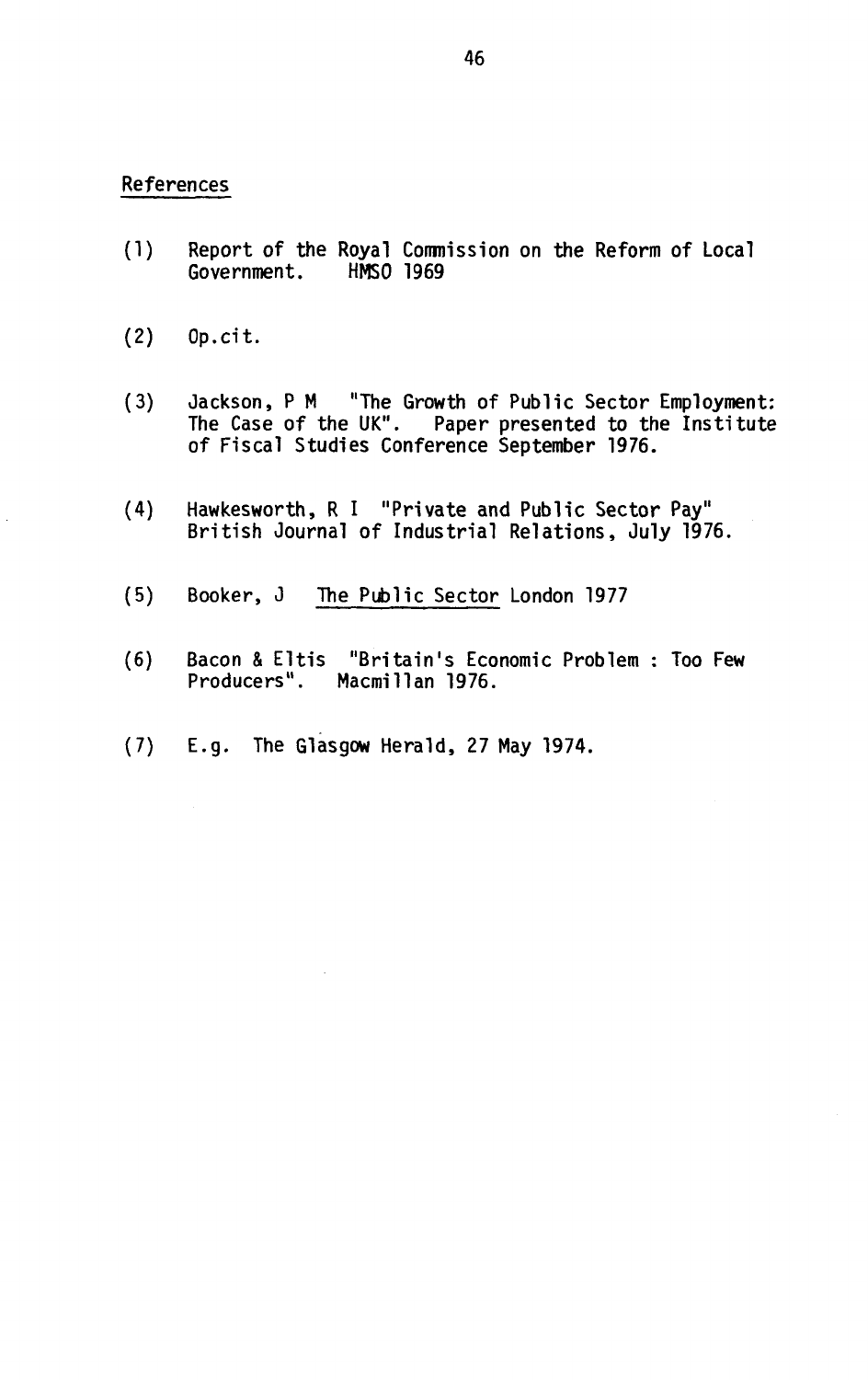## **Refe**r**en**c**es**

- **(1) Rep**or**t** o**f the R**o**yal C**o**mmissi**on on **the Ref**or**m** o**f L**oc**al G**o**ve**rn**me**n**t. HMSO 1969**
- **(2) Op.**c**it.**
- (3) Jackson, P M "The Growth of Public Sector Employment: The Case of the UK". Paper presented to the Institute of Fiscal Studies Conference September 1976.
- (4) Hawkesworth, R I "Private and Public Sector Pay" British Journal of Industrial Relations, July 1976.
- (5) Booker, J The Public Sector London 1977
- (6) Bacon & Eltis "Britain's Economic Problem : Too Few Producers". Macmillan 1976.
- (7) E.g. The Glasgow Herald, 27 May 1974.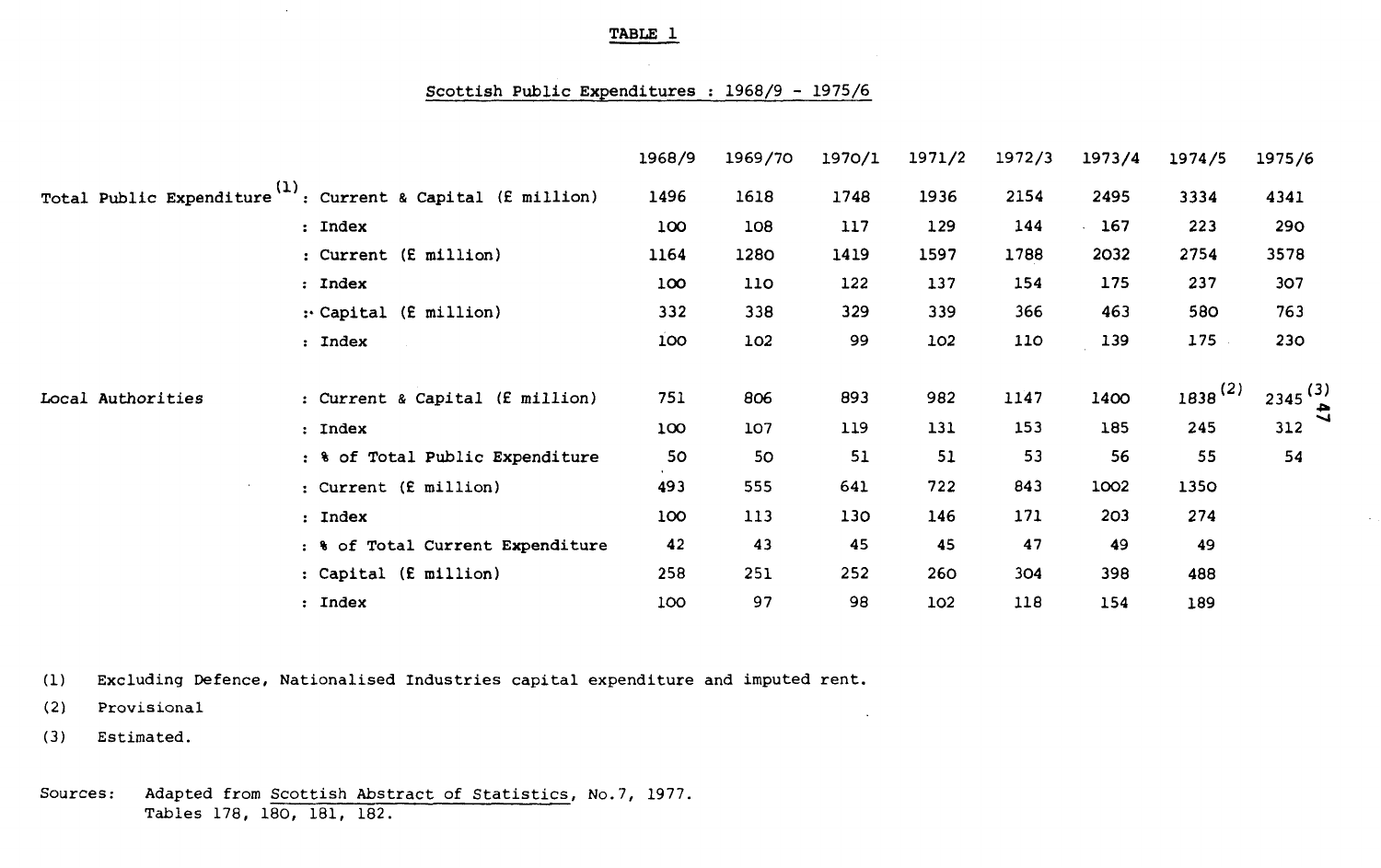#### **Scottish Public Expenditures : 1968/9 - 1975/6**

|                   |                                                                         | 1968/9           | 1969/70 | 1970/1 | 1971/2 | 1972/3 | 1973/4 | 1974/5       | 1975/6       |
|-------------------|-------------------------------------------------------------------------|------------------|---------|--------|--------|--------|--------|--------------|--------------|
|                   | Total Public Expenditure <sup>(1)</sup> : Current & Capital (£ million) | 1496             | 1618    | 1748   | 1936   | 2154   | 2495   | 3334         | 4341         |
|                   | : Index                                                                 | 100              | 108     | 117    | 129    | 144    | 167    | 223          | 290          |
|                   | : Current (£ million)                                                   | 1164             | 1280    | 1419   | 1597   | 1788   | 2032   | 2754         | 3578         |
|                   | : Index                                                                 | 100 <sub>o</sub> | 110     | 122    | 137    | 154    | 175    | 237          | 307          |
|                   | : Capital (£ million)                                                   | 332              | 338     | 329    | 339    | 366    | 463    | 580          | 763          |
|                   | : Index                                                                 | 100              | 102     | 99     | 102    | 110    | 139    | 175          | 230          |
| Local Authorities | : Current & Capital (£ million)                                         | 751              | 806     | 893    | 982    | 1147   | 1400   | $1838^{(2)}$ | $2345^{(3)}$ |
|                   | : Index                                                                 | 100              | 107     | 119    | 131    | 153    | 185    | 245          | 312          |
|                   | : % of Total Public Expenditure                                         | 50               | 50      | 51     | 51     | 53     | 56     | 55           | 54           |
|                   | : Current (£ million)                                                   | 493              | 555     | 641    | 722    | 843    | 1002   | 1350         |              |
|                   | : Index                                                                 | 100              | 113     | 130    | 146    | 171    | 203    | 274          |              |
|                   | : % of Total Current Expenditure                                        | 42               | 43      | 45     | 45     | 47     | 49     | 49           |              |
|                   | : Capital (£ million)                                                   | 258              | 251     | 252    | 260    | 304    | 398    | 488          |              |
|                   | : Index                                                                 | 100              | 97      | 98     | 102    | 118    | 154    | 189          |              |

 $\ddot{\phantom{a}}$ 

(1) Excluding Defence, Nationalised Industries capital expenditure and imputed rent.

(2) Provisional

(3) Estimated.

Sources: Adapted from Scottish Abstract of Statistics, No.7, 1977. Tables 178, 180, 181, 182.

 $\bar{u}$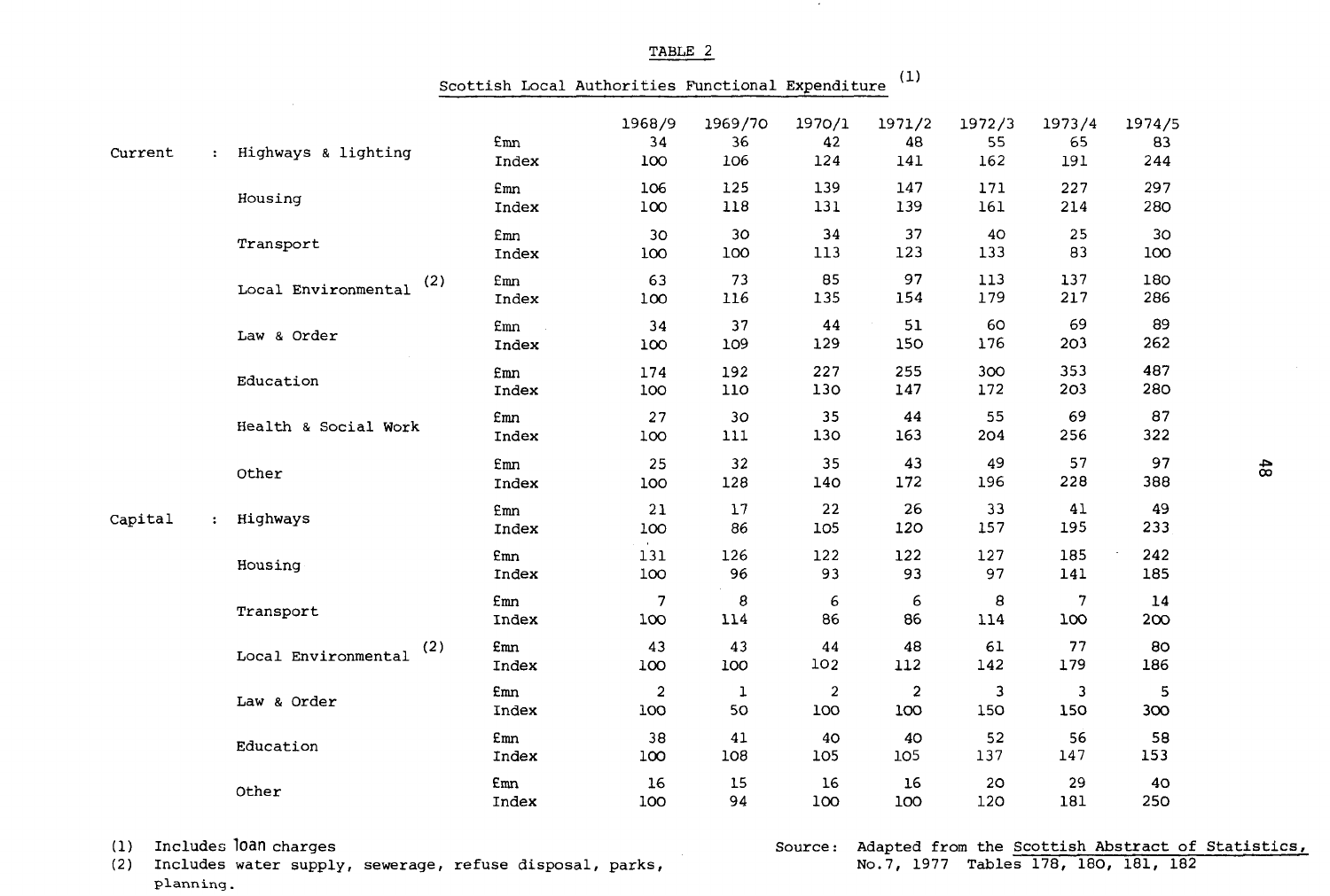|         |              |                       | Scottish Local Authorities Functional Expenditure |                       |                      |                         | (1)                            |                     |                     |                       |
|---------|--------------|-----------------------|---------------------------------------------------|-----------------------|----------------------|-------------------------|--------------------------------|---------------------|---------------------|-----------------------|
| Current |              | : Highways & lighting | £mn<br>Index                                      | 1968/9<br>34<br>100   | 1969/70<br>36<br>106 | 1970/1<br>42<br>124     | 1971/2<br>48<br>141            | 1972/3<br>55<br>162 | 1973/4<br>65<br>191 | 1974/5<br>83<br>244   |
|         |              | Housing               | Emn<br>Index                                      | 106<br>100            | 125<br>118           | 139<br>131              | 147<br>139                     | 171<br>161          | 227<br>214          | 297<br>280            |
|         |              | Transport             | <b>Emn</b><br>Index                               | 30<br>100             | 30<br>100            | 34<br>113               | 37<br>123                      | 40<br>133           | 25<br>83            | 3 <sub>O</sub><br>100 |
|         |              | Local Environmental   | <b>Emn</b><br>(2)<br>Index                        | 63<br>100             | 73<br>116            | 85<br>135               | 97<br>154                      | 113<br>179          | 137<br>217          | 180<br>286            |
|         |              | Law & Order           | Emn<br>Index                                      | 34<br>100             | 37<br>109            | 44<br>129               | 51<br>150                      | 60<br>176           | 69<br>203           | 89<br>262             |
|         |              | Education             | £mn<br>Index                                      | 174<br>100            | 192<br>110           | 227<br>130              | 255<br>147                     | 300<br>172          | 353<br>203          | 487<br>280            |
|         |              | Health & Social Work  | <b>Emn</b><br>Index                               | 27<br>100             | 30<br>111            | 35<br>130               | 44<br>163                      | 55<br>204           | 69<br>256           | 87<br>322             |
|         |              | Other                 | Emn<br>Index                                      | 25<br>100             | 32<br>128            | 35<br>140               | 43<br>172                      | 49<br>196           | 57<br>228           | 97<br>388             |
| Capital | $\mathbf{z}$ | Highways              | £mn<br>Index                                      | 21<br>100             | 17<br>86             | 22<br>105               | 26<br>120                      | 33<br>157           | 41<br>195           | 49<br>233             |
|         |              | Housing               | <b>£mn</b><br>Index                               | 131<br>100            | 126<br>96            | 122<br>93               | 122<br>93                      | 127<br>97           | 185<br>141          | 242<br>185            |
|         |              | Transport             | Emn<br>Index                                      | 7<br>100              | 8<br>114             | 6<br>86                 | 6<br>86                        | 8<br>114            | 7<br>100            | 14<br>200             |
|         |              | Local Environmental   | (2)<br>£mn<br>Index                               | 43<br>100             | 43<br>100            | 44<br>102               | 48<br>112                      | 61<br>142           | 77<br>179           | 80<br>186             |
|         |              | Law & Order           | <b>£mn</b><br>Index                               | $\overline{a}$<br>100 | 1<br>50              | $\boldsymbol{2}$<br>100 | $\overline{\mathbf{c}}$<br>100 | 3<br>150            | 3<br>150            | 5<br>300              |
|         |              | Education             | £mn<br>Index                                      | 38<br>100             | 41<br>108            | 40<br>105               | 40<br>105                      | 52<br>137           | 56<br>147           | 58<br>153             |
|         |              | Other                 | Emn<br>Index                                      | 16<br>100             | 15<br>94             | 16<br>100               | 16<br>100                      | 20<br>120           | 29<br>181           | 40<br>250             |

(1) Includes loan charges

(2) Includes water supply, sewerage, refuse disposal, parks, planning.

# Source: Adapted from the Scottish Abstract of Statistics,<br>No.7, 1977 Tables 178, 180, 181, 182

TABLE 2

 $\sim$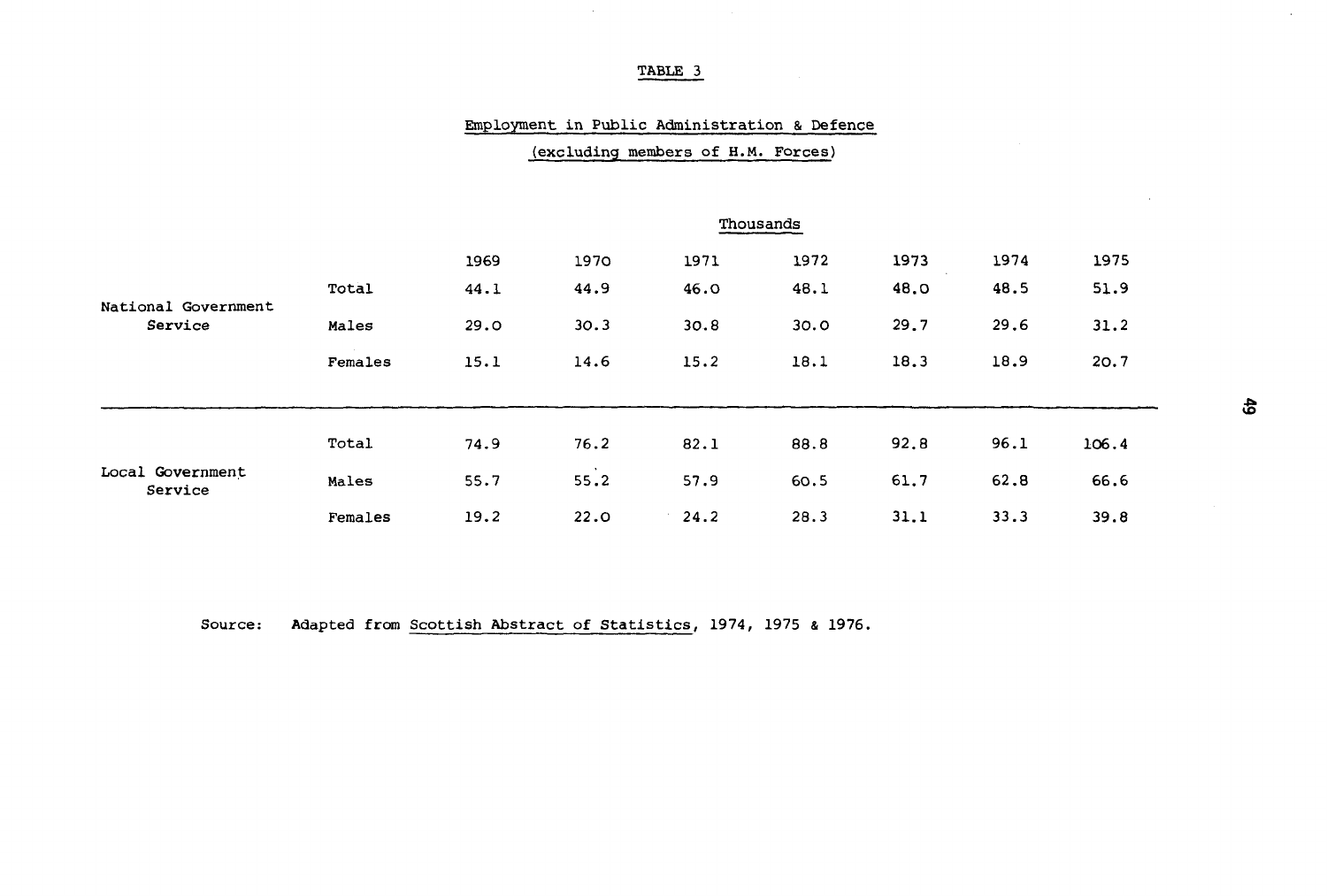$\sim$ 

#### Employment in Public Administration & Defence

|                                |         |      |      |      | Thousands |      |      |       |  |  |  |  |  |  |  |
|--------------------------------|---------|------|------|------|-----------|------|------|-------|--|--|--|--|--|--|--|
|                                |         | 1969 | 1970 | 1971 | 1972      | 1973 | 1974 | 1975  |  |  |  |  |  |  |  |
| National Government<br>Service | Total   | 44.1 | 44.9 | 46.0 | 48.1      | 48.0 | 48.5 | 51.9  |  |  |  |  |  |  |  |
|                                | Males   | 29.0 | 30.3 | 30.8 | 30.0      | 29.7 | 29.6 | 31.2  |  |  |  |  |  |  |  |
|                                | Females | 15.1 | 14.6 | 15.2 | 18.1      | 18.3 | 18.9 | 20.7  |  |  |  |  |  |  |  |
|                                |         |      |      |      |           |      |      |       |  |  |  |  |  |  |  |
| Local Government<br>Service    | Total   | 74.9 | 76.2 | 82.1 | 88.8      | 92.8 | 96.1 | 106.4 |  |  |  |  |  |  |  |
|                                | Males   | 55.7 | 55.2 | 57.9 | 60.5      | 61.7 | 62.8 | 66.6  |  |  |  |  |  |  |  |
|                                | Females | 19.2 | 22.0 | 24.2 | 28.3      | 31.1 | 33.3 | 39.8  |  |  |  |  |  |  |  |

(excluding members of H.M. Forces)

Source: Adapted from Scottish Abstract of Statistics, 1974, 1975 & 1976.

 $\sim$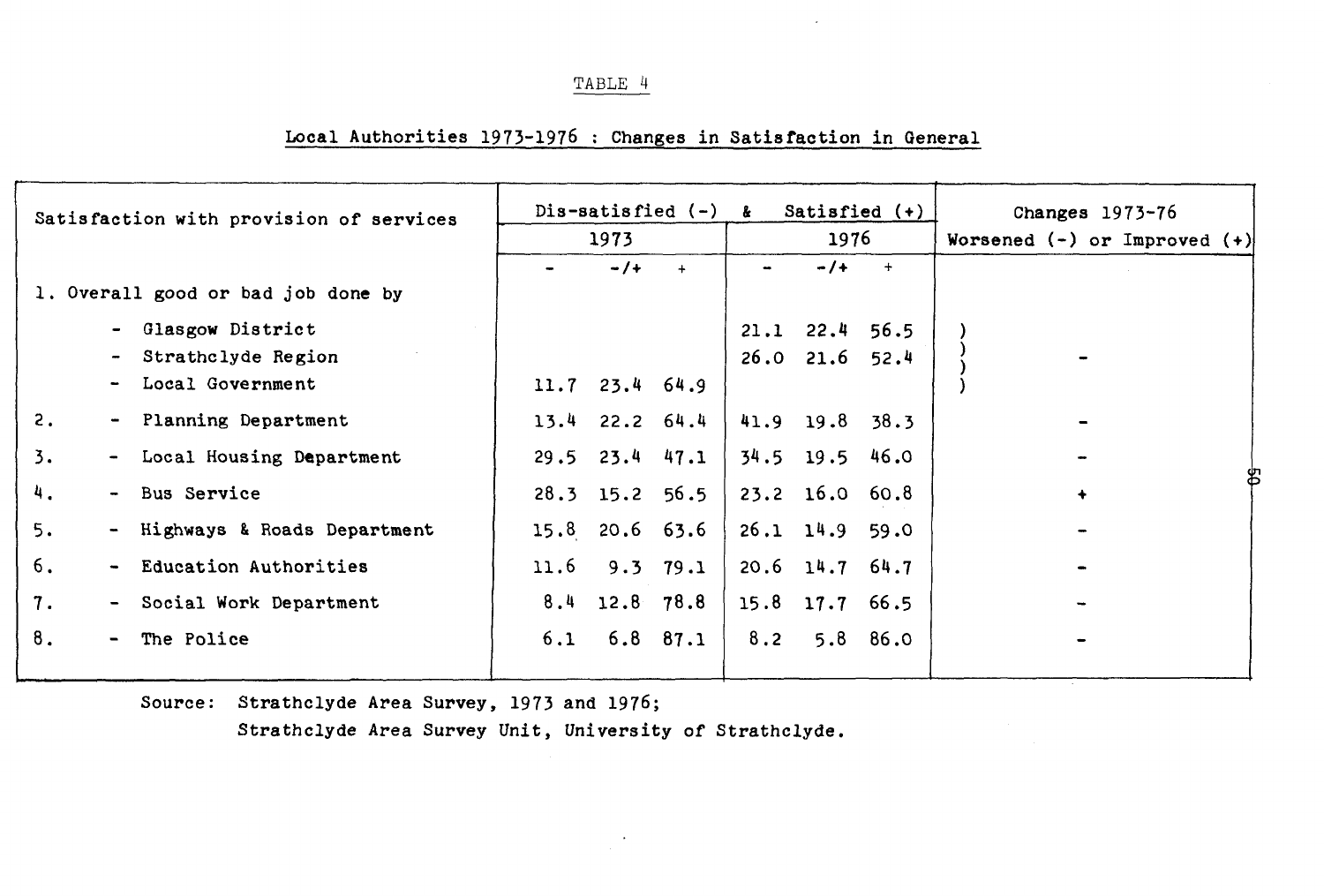# Local Authorities 1973-1976 : Changes in Satisfaction in General

| Satisfaction with provision of services |                          |                                    |      | $Dis-satisfied (-)$ | $\mathbf{k}$         |                | Satisfied $(+)$      | Changes $1973-76$ |  |             |                                  |  |  |
|-----------------------------------------|--------------------------|------------------------------------|------|---------------------|----------------------|----------------|----------------------|-------------------|--|-------------|----------------------------------|--|--|
|                                         |                          |                                    |      | 1973                |                      |                | 1976                 |                   |  |             | Worsened $(-)$ or Improved $(+)$ |  |  |
|                                         |                          |                                    |      | $-1+$               | $+$                  | $\blacksquare$ | $-1+$                | $+$               |  |             |                                  |  |  |
|                                         |                          | 1. Overall good or bad job done by |      |                     |                      |                |                      |                   |  |             |                                  |  |  |
|                                         | $\blacksquare$           | Glasgow District                   |      |                     |                      |                | $21.1$ $22.4$ 56.5   |                   |  |             |                                  |  |  |
|                                         | $\overline{\phantom{m}}$ | Strathclyde Region                 |      |                     |                      |                | $26.0$ $21.6$ $52.4$ |                   |  |             |                                  |  |  |
|                                         | $\overline{\phantom{a}}$ | Local Government                   |      | $11.7$ 23.4 64.9    |                      |                |                      |                   |  |             |                                  |  |  |
| 2.                                      |                          | - Planning Department              |      | $13.4$ 22.2 64.4    |                      |                | 41.9 19.8 38.3       |                   |  |             |                                  |  |  |
| $\overline{3}$ .                        |                          | - Local Housing Department         |      |                     | $29.5$ $23.4$ $47.1$ |                | $34.5$ 19.5 46.0     |                   |  |             |                                  |  |  |
| 4.                                      |                          | - Bus Service                      |      |                     | $28.3$ 15.2 56.5     |                | 23.2 16.0 60.8       |                   |  | $\ddotmark$ |                                  |  |  |
| 5.                                      |                          | - Highways & Roads Department      |      |                     | $15.8$ 20.6 63.6     |                | $26.1$ $14.9$        | 59.0              |  |             |                                  |  |  |
| б.                                      |                          | - Education Authorities            | 11.6 |                     | $9.3$ $79.1$         |                | $20.6$ 14.7 $64.7$   |                   |  |             |                                  |  |  |
| 7.                                      |                          | - Social Work Department           |      |                     | $8.4$ 12.8 78.8      |                | 15.8 17.7 66.5       |                   |  |             |                                  |  |  |
| 8.                                      | $\blacksquare$           | The Police                         | 6.1  |                     | $6.8$ $87.1$         | 8.2            |                      | $5.8$ $86.0$      |  |             |                                  |  |  |
|                                         |                          |                                    |      |                     |                      |                |                      |                   |  |             |                                  |  |  |

Source: Strathclyde Area Survey, 1973 and 1976;

Strathclyde Area Survey Unit, University of Strathclyde.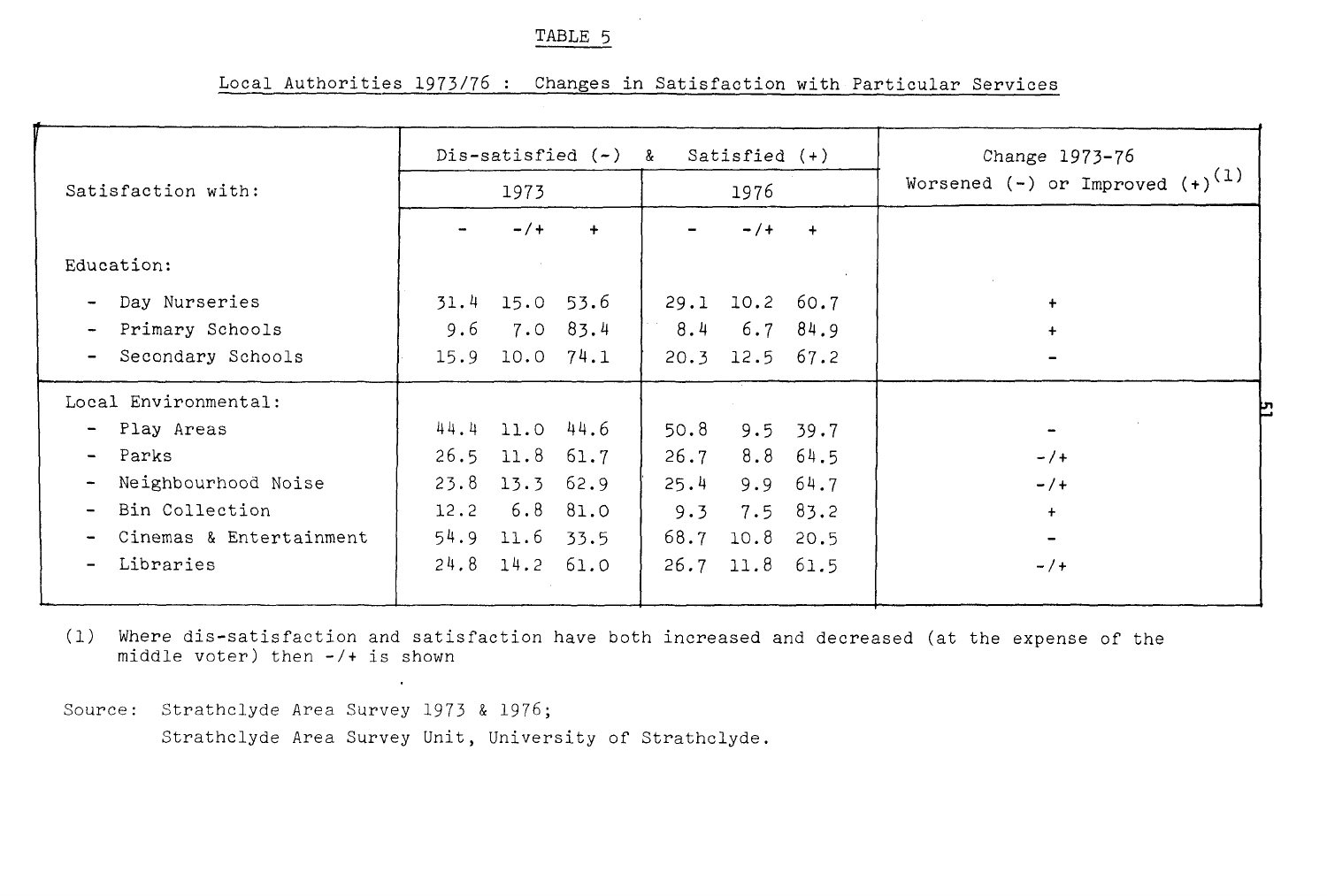# Local Authorities 1973/76 : Changes in Satisfaction with Particular Services

|                               |                    |               |             | Dis-satisfied $(-)$ & Satisfied $(+)$ |                      |            | Change 1973-76                         |
|-------------------------------|--------------------|---------------|-------------|---------------------------------------|----------------------|------------|----------------------------------------|
| Satisfaction with:            |                    | 1973          |             |                                       | 1976                 |            | Worsened $(-)$ or Improved $(+)^{(1)}$ |
|                               |                    | $- / +$       | $\ddotmark$ |                                       | $- / +$              |            |                                        |
| Education:                    |                    |               |             |                                       |                      |            |                                        |
| - Day Nurseries               | $31.4$ 15.0 53.6   |               |             |                                       | 29.1 10.2 60.7       |            | $+$                                    |
| Primary Schools<br>$\sim$     | 9.6                | $7.0$ 83.4    |             |                                       | $8.4 \t 6.7 \t 84.9$ |            | $+$                                    |
| Secondary Schools<br>$\sim$   | 15.9               | $10.0$ $74.1$ |             |                                       | $20.3$ 12.5 67.2     |            | -                                      |
| Local Environmental:          |                    |               |             |                                       |                      |            |                                        |
| - Play Areas                  | 44.4 11.0 44.6     |               |             | 50.8                                  |                      | $9.5$ 39.7 |                                        |
| - Parks                       | $26.5$ 11.8 $61.7$ |               |             | 26.7                                  |                      | $8.8$ 64.5 | $- / +$                                |
| Neighbourhood Noise<br>$\sim$ | 23.8               | 13.3 62.9     |             | 25.4                                  |                      | 9.9 64.7   | $- / +$                                |
| - Bin Collection              | $12.2$ 6.8 81.0    |               |             | 9.3                                   |                      | $7.5$ 83.2 | $+$                                    |
| Cinemas & Entertainment       | 54.9 11.6 33.5     |               |             |                                       | 68.7 10.8 20.5       |            |                                        |
| Libraries<br>$\blacksquare$   | 24.8 14.2 61.0     |               |             |                                       | 26.7 11.8 61.5       |            | $- / +$                                |
|                               |                    |               |             |                                       |                      |            |                                        |

(1) Where dis-satisfaction and satisfaction have both increased and decreased (at the expense of the middle voter) then -/+ is shown

Source: Strathclyde Area Survey 1973 & 1976; Strathclyde Area Survey Unit, University of Strathclyde.

 $\sim 10^{-1}$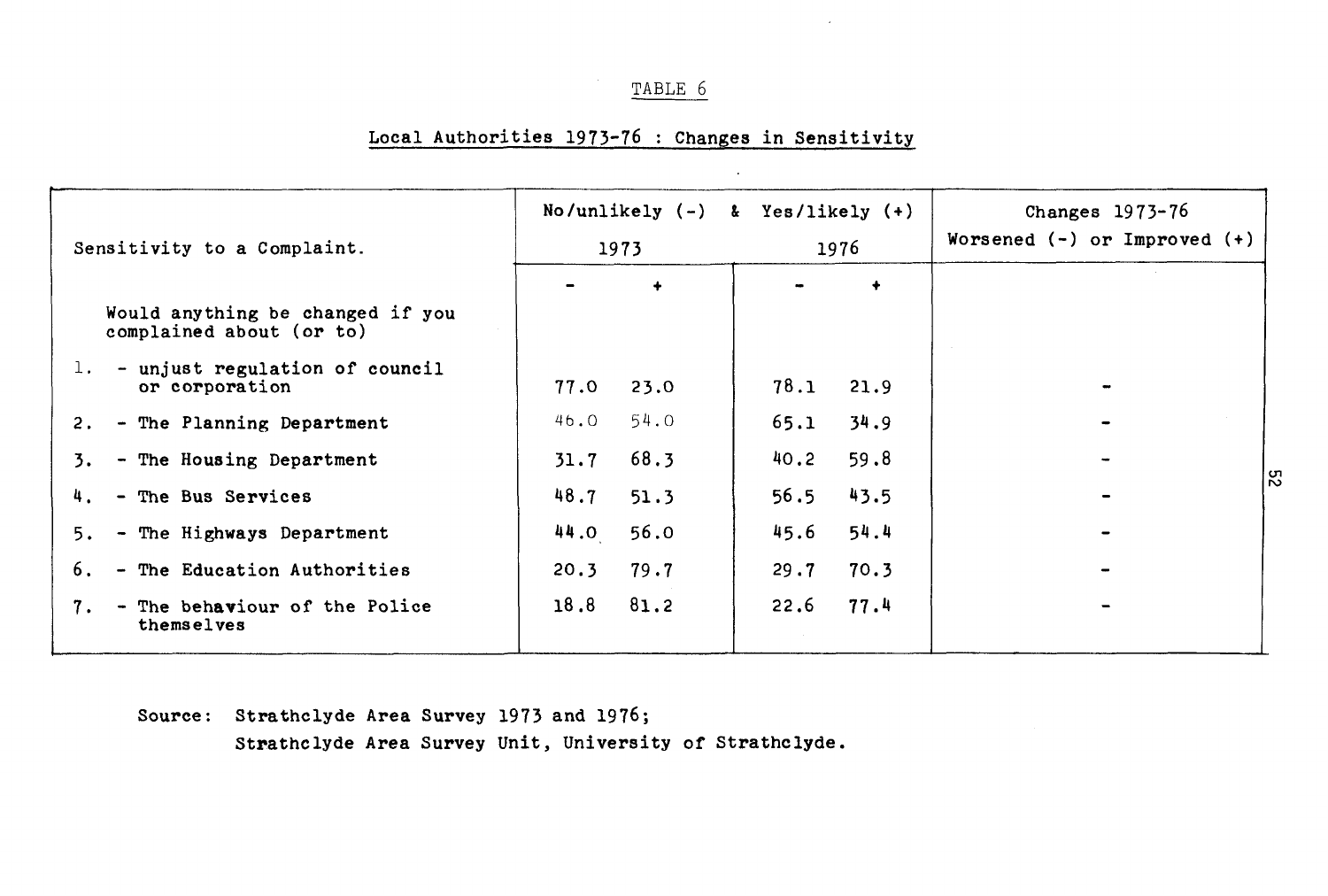# Local Authorities 1973-76 : Changes in Sensitivity

| Sensitivity to a Complaint.                                  |      | 1973        | No/unlikely $(-)$ & Yes/likely $(+)$ | 1976        | Changes $1973-76$<br>Worsened $(-)$ or Improved $(+)$ |  |  |  |  |  |
|--------------------------------------------------------------|------|-------------|--------------------------------------|-------------|-------------------------------------------------------|--|--|--|--|--|
|                                                              |      | $\ddotmark$ |                                      | $\ddotmark$ |                                                       |  |  |  |  |  |
| Would anything be changed if you<br>complained about (or to) |      |             |                                      |             |                                                       |  |  |  |  |  |
| - unjust regulation of council<br>1.<br>or corporation       | 77.0 | 23.0        | 78.1                                 | 21.9        |                                                       |  |  |  |  |  |
| 2. - The Planning Department                                 | 46.O | 54.0        | 65.1                                 | 34.9        |                                                       |  |  |  |  |  |
| - The Housing Department<br>3.                               | 31.7 | 68.3        | 40.2                                 | 59.8        |                                                       |  |  |  |  |  |
| 4. - The Bus Services                                        | 48.7 | 51.3        | 56.5                                 | 43.5        |                                                       |  |  |  |  |  |
| 5. - The Highways Department                                 | 44.0 | 56.0        | 45.6                                 | 54.4        |                                                       |  |  |  |  |  |
| - The Education Authorities<br>6.                            | 20.3 | 79.7        | 29.7                                 | 70.3        |                                                       |  |  |  |  |  |
| - The behaviour of the Police<br>7.<br>themselves            | 18.8 | 81.2        | 22.6                                 | 77.4        |                                                       |  |  |  |  |  |

Source: Strathclyde Area Survey 1973 and 1976;

Strathclyde Area Survey Unit, University of Strathclyde.